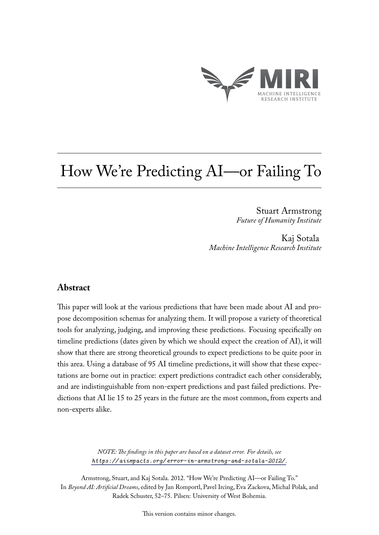

# How We're Predicting AI—or Failing To

Stuart Armstrong *Future of Humanity Institute*

Kaj Sotala *Machine Intelligence Research Institute*

# **Abstract**

This paper will look at the various predictions that have been made about AI and propose decomposition schemas for analyzing them. It will propose a variety of theoretical tools for analyzing, judging, and improving these predictions. Focusing specifically on timeline predictions (dates given by which we should expect the creation of AI), it will show that there are strong theoretical grounds to expect predictions to be quite poor in this area. Using a database of 95 AI timeline predictions, it will show that these expectations are borne out in practice: expert predictions contradict each other considerably, and are indistinguishable from non-expert predictions and past failed predictions. Predictions that AI lie 15 to 25 years in the future are the most common, from experts and non-experts alike.

> *NOTE:The findings in this paper are based on a dataset error. For details, see [https:// aiimpacts.org/ error-in-armstrong-and-sotala-2012/](https://aiimpacts.org/error-in-armstrong-and-sotala-2012/).*

Armstrong, Stuart, and Kaj Sotala. 2012. "How We're Predicting AI—or Failing To." In *Beyond AI: Artificial Dreams*, edited by Jan Romportl, Pavel Ircing, Eva Zackova, Michal Polak, and Radek Schuster, 52–75. Pilsen: University of West Bohemia.

This version contains minor changes.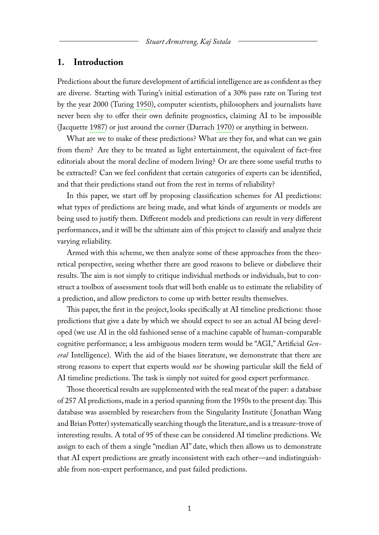# **1. Introduction**

Predictions about the future development of artificial intelligence are as confident as they are diverse. Starting with Turing's initial estimation of a 30% pass rate on Turing test by the year 2000 (Turing [1950\)](#page-22-0), computer scientists, philosophers and journalists have never been shy to offer their own definite prognostics, claiming AI to be impossible (Jacquette [1987\)](#page-21-0) or just around the corner (Darrach [1970\)](#page-20-0) or anything in between.

What are we to make of these predictions? What are they for, and what can we gain from them? Are they to be treated as light entertainment, the equivalent of fact-free editorials about the moral decline of modern living? Or are there some useful truths to be extracted? Can we feel confident that certain categories of experts can be identified, and that their predictions stand out from the rest in terms of reliability?

In this paper, we start off by proposing classification schemes for AI predictions: what types of predictions are being made, and what kinds of arguments or models are being used to justify them. Different models and predictions can result in very different performances, and it will be the ultimate aim of this project to classify and analyze their varying reliability.

Armed with this scheme, we then analyze some of these approaches from the theoretical perspective, seeing whether there are good reasons to believe or disbelieve their results. The aim is not simply to critique individual methods or individuals, but to construct a toolbox of assessment tools that will both enable us to estimate the reliability of a prediction, and allow predictors to come up with better results themselves.

This paper, the first in the project, looks specifically at AI timeline predictions: those predictions that give a date by which we should expect to see an actual AI being developed (we use AI in the old fashioned sense of a machine capable of human-comparable cognitive performance; a less ambiguous modern term would be "AGI," Artificial *General* Intelligence). With the aid of the biases literature, we demonstrate that there are strong reasons to expert that experts would *not* be showing particular skill the field of AI timeline predictions. The task is simply not suited for good expert performance.

Those theoretical results are supplemented with the real meat of the paper: a database of 257 AI predictions, made in a period spanning from the 1950s to the present day. This database was assembled by researchers from the Singularity Institute ( Jonathan Wang and Brian Potter) systematically searching though the literature, and is a treasure-trove of interesting results. A total of 95 of these can be considered AI timeline predictions. We assign to each of them a single "median AI" date, which then allows us to demonstrate that AI expert predictions are greatly inconsistent with each other—and indistinguishable from non-expert performance, and past failed predictions.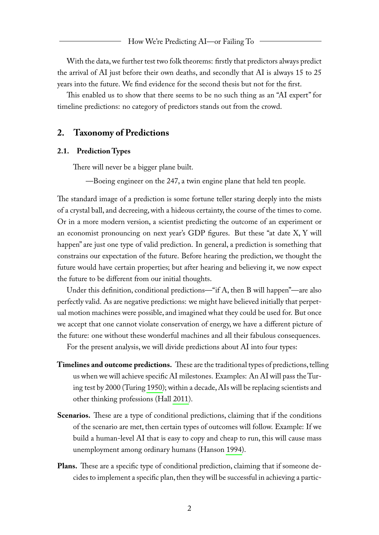With the data,we further test two folk theorems: firstly that predictors always predict the arrival of AI just before their own deaths, and secondly that AI is always 15 to 25 years into the future. We find evidence for the second thesis but not for the first.

This enabled us to show that there seems to be no such thing as an "AI expert" for timeline predictions: no category of predictors stands out from the crowd.

### **2. Taxonomy of Predictions**

#### **2.1. Prediction Types**

There will never be a bigger plane built.

—Boeing engineer on the 247, a twin engine plane that held ten people.

The standard image of a prediction is some fortune teller staring deeply into the mists of a crystal ball, and decreeing, with a hideous certainty, the course of the times to come. Or in a more modern version, a scientist predicting the outcome of an experiment or an economist pronouncing on next year's GDP figures. But these "at date X, Y will happen" are just one type of valid prediction. In general, a prediction is something that constrains our expectation of the future. Before hearing the prediction, we thought the future would have certain properties; but after hearing and believing it, we now expect the future to be different from our initial thoughts.

Under this definition, conditional predictions—"if A, then B will happen"—are also perfectly valid. As are negative predictions: we might have believed initially that perpetual motion machines were possible, and imagined what they could be used for. But once we accept that one cannot violate conservation of energy, we have a different picture of the future: one without these wonderful machines and all their fabulous consequences.

For the present analysis, we will divide predictions about AI into four types:

- **Timelines and outcome predictions.** These are the traditional types of predictions, telling us when we will achieve specific AI milestones. Examples: An AI will pass the Turing test by 2000 (Turing [1950\)](#page-22-0); within a decade, AIs will be replacing scientists and other thinking professions (Hall [2011\)](#page-20-1).
- **Scenarios.** These are a type of conditional predictions, claiming that if the conditions of the scenario are met, then certain types of outcomes will follow. Example: If we build a human-level AI that is easy to copy and cheap to run, this will cause mass unemployment among ordinary humans (Hanson [1994\)](#page-20-2).
- **Plans.** These are a specific type of conditional prediction, claiming that if someone decides to implement a specific plan, then they will be successful in achieving a partic-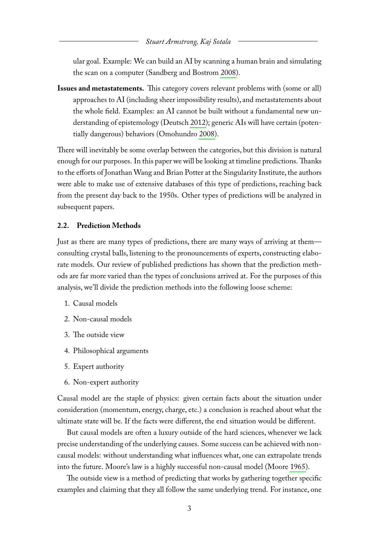ular goal. Example: We can build an AI by scanning a human brain and simulating the scan on a computer (Sandberg and Bostrom [2008\)](#page-21-1).

**Issues and metastatements.** This category covers relevant problems with (some or all) approaches to AI (including sheer impossibility results), and metastatements about the whole field. Examples: an AI cannot be built without a fundamental new understanding of epistemology (Deutsch [2012\)](#page-20-3); generic AIs will have certain (potentially dangerous) behaviors (Omohundro [2008\)](#page-21-2).

There will inevitably be some overlap between the categories, but this division is natural enough for our purposes. In this paper we will be looking at timeline predictions. Thanks to the efforts of Jonathan Wang and Brian Potter at the Singularity Institute, the authors were able to make use of extensive databases of this type of predictions, reaching back from the present day back to the 1950s. Other types of predictions will be analyzed in subsequent papers.

## **2.2. Prediction Methods**

Just as there are many types of predictions, there are many ways of arriving at them consulting crystal balls, listening to the pronouncements of experts, constructing elaborate models. Our review of published predictions has shown that the prediction methods are far more varied than the types of conclusions arrived at. For the purposes of this analysis, we'll divide the prediction methods into the following loose scheme:

- 1. Causal models
- 2. Non-causal models
- 3. The outside view
- 4. Philosophical arguments
- 5. Expert authority
- 6. Non-expert authority

Causal model are the staple of physics: given certain facts about the situation under consideration (momentum, energy, charge, etc.) a conclusion is reached about what the ultimate state will be. If the facts were different, the end situation would be different.

But causal models are often a luxury outside of the hard sciences, whenever we lack precise understanding of the underlying causes. Some success can be achieved with noncausal models: without understanding what influences what, one can extrapolate trends into the future. Moore's law is a highly successful non-causal model (Moore [1965\)](#page-21-3).

The outside view is a method of predicting that works by gathering together specific examples and claiming that they all follow the same underlying trend. For instance, one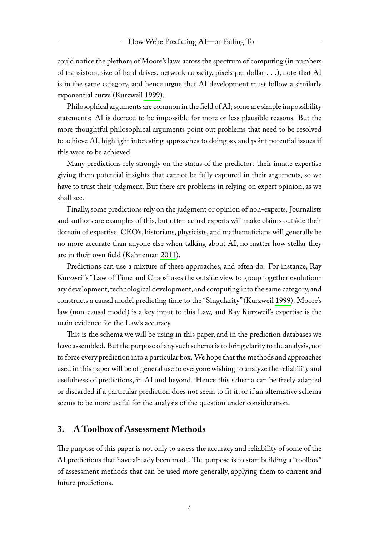could notice the plethora of Moore's laws across the spectrum of computing (in numbers of transistors, size of hard drives, network capacity, pixels per dollar . . .), note that AI is in the same category, and hence argue that AI development must follow a similarly exponential curve (Kurzweil [1999\)](#page-21-4).

Philosophical arguments are common in the field of AI; some are simple impossibility statements: AI is decreed to be impossible for more or less plausible reasons. But the more thoughtful philosophical arguments point out problems that need to be resolved to achieve AI, highlight interesting approaches to doing so, and point potential issues if this were to be achieved.

Many predictions rely strongly on the status of the predictor: their innate expertise giving them potential insights that cannot be fully captured in their arguments, so we have to trust their judgment. But there are problems in relying on expert opinion, as we shall see.

Finally, some predictions rely on the judgment or opinion of non-experts. Journalists and authors are examples of this, but often actual experts will make claims outside their domain of expertise. CEO's, historians, physicists, and mathematicians will generally be no more accurate than anyone else when talking about AI, no matter how stellar they are in their own field (Kahneman [2011\)](#page-21-5).

Predictions can use a mixture of these approaches, and often do. For instance, Ray Kurzweil's "Law of Time and Chaos" uses the outside view to group together evolutionary development, technological development, and computing into the same category, and constructs a causal model predicting time to the "Singularity" (Kurzweil [1999\)](#page-21-4). Moore's law (non-causal model) is a key input to this Law, and Ray Kurzweil's expertise is the main evidence for the Law's accuracy.

This is the schema we will be using in this paper, and in the prediction databases we have assembled. But the purpose of any such schema is to bring clarity to the analysis, not to force every prediction into a particular box. We hope that the methods and approaches used in this paper will be of general use to everyone wishing to analyze the reliability and usefulness of predictions, in AI and beyond. Hence this schema can be freely adapted or discarded if a particular prediction does not seem to fit it, or if an alternative schema seems to be more useful for the analysis of the question under consideration.

## **3. A Toolbox of Assessment Methods**

The purpose of this paper is not only to assess the accuracy and reliability of some of the AI predictions that have already been made. The purpose is to start building a "toolbox" of assessment methods that can be used more generally, applying them to current and future predictions.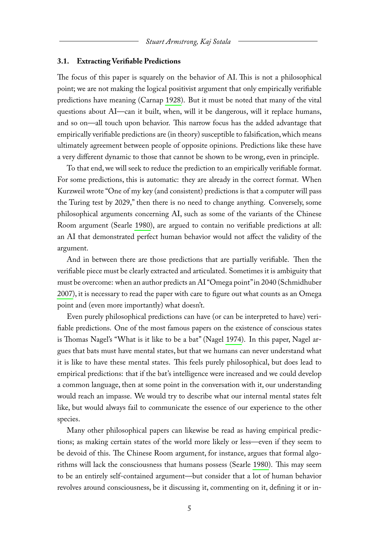#### <span id="page-5-0"></span>**3.1. Extracting Verifiable Predictions**

The focus of this paper is squarely on the behavior of AI. This is not a philosophical point; we are not making the logical positivist argument that only empirically verifiable predictions have meaning (Carnap [1928\)](#page-20-4). But it must be noted that many of the vital questions about AI—can it built, when, will it be dangerous, will it replace humans, and so on—all touch upon behavior. This narrow focus has the added advantage that empirically verifiable predictions are (in theory) susceptible to falsification, which means ultimately agreement between people of opposite opinions. Predictions like these have a very different dynamic to those that cannot be shown to be wrong, even in principle.

To that end, we will seek to reduce the prediction to an empirically verifiable format. For some predictions, this is automatic: they are already in the correct format. When Kurzweil wrote "One of my key (and consistent) predictions is that a computer will pass the Turing test by 2029," then there is no need to change anything. Conversely, some philosophical arguments concerning AI, such as some of the variants of the Chinese Room argument (Searle [1980\)](#page-21-6), are argued to contain no verifiable predictions at all: an AI that demonstrated perfect human behavior would not affect the validity of the argument.

And in between there are those predictions that are partially verifiable. Then the verifiable piece must be clearly extracted and articulated. Sometimes it is ambiguity that must be overcome: when an author predicts an AI "Omega point"in 2040 (Schmidhuber [2007\)](#page-21-7), it is necessary to read the paper with care to figure out what counts as an Omega point and (even more importantly) what doesn't.

Even purely philosophical predictions can have (or can be interpreted to have) verifiable predictions. One of the most famous papers on the existence of conscious states is Thomas Nagel's "What is it like to be a bat" (Nagel [1974\)](#page-21-8). In this paper, Nagel argues that bats must have mental states, but that we humans can never understand what it is like to have these mental states. This feels purely philosophical, but does lead to empirical predictions: that if the bat's intelligence were increased and we could develop a common language, then at some point in the conversation with it, our understanding would reach an impasse. We would try to describe what our internal mental states felt like, but would always fail to communicate the essence of our experience to the other species.

Many other philosophical papers can likewise be read as having empirical predictions; as making certain states of the world more likely or less—even if they seem to be devoid of this. The Chinese Room argument, for instance, argues that formal algorithms will lack the consciousness that humans possess (Searle [1980\)](#page-21-6). This may seem to be an entirely self-contained argument—but consider that a lot of human behavior revolves around consciousness, be it discussing it, commenting on it, defining it or in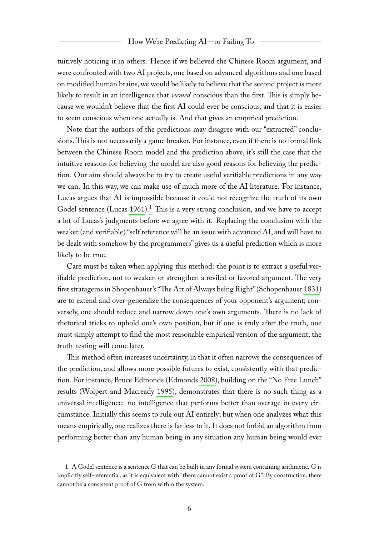tuitively noticing it in others. Hence if we believed the Chinese Room argument, and were confronted with two AI projects, one based on advanced algorithms and one based on modified human brains, we would be likely to believe that the second project is more likely to result in an intelligence that *seemed* conscious than the first. This is simply because we wouldn't believe that the first AI could ever be conscious, and that it is easier to seem conscious when one actually is. And that gives an empirical prediction.

Note that the authors of the predictions may disagree with our "extracted" conclusions. This is not necessarily a game breaker. For instance, even if there is no formal link between the Chinese Room model and the prediction above, it's still the case that the intuitive reasons for believing the model are also good reasons for believing the prediction. Our aim should always be to try to create useful verifiable predictions in any way we can. In this way, we can make use of much more of the AI literature. For instance, Lucas argues that AI is impossible because it could not recognize the truth of its own Gödel sentence (Lucas [1961\)](#page-21-9).<sup>[1](#page-6-0)</sup> This is a very strong conclusion, and we have to accept a lot of Lucas's judgments before we agree with it. Replacing the conclusion with the weaker (and verifiable) "self reference will be an issue with advanced AI, and will have to be dealt with somehow by the programmers" gives us a useful prediction which is more likely to be true.

Care must be taken when applying this method: the point is to extract a useful verifiable prediction, not to weaken or strengthen a reviled or favored argument. The very first stratagems in Shopenhauer's "The Art of Always being Right" (Schopenhauer [1831\)](#page-21-10) are to extend and over-generalize the consequences of your opponent's argument; conversely, one should reduce and narrow down one's own arguments. There is no lack of rhetorical tricks to uphold one's own position, but if one is truly after the truth, one must simply attempt to find the most reasonable empirical version of the argument; the truth-testing will come later.

This method often increases uncertainty, in that it often narrows the consequences of the prediction, and allows more possible futures to exist, consistently with that prediction. For instance, Bruce Edmonds (Edmonds [2008\)](#page-20-5), building on the "No Free Lunch" results (Wolpert and Macready [1995\)](#page-22-1), demonstrates that there is no such thing as a universal intelligence: no intelligence that performs better than average in every circumstance. Initially this seems to rule out AI entirely; but when one analyzes what this means empirically, one realizes there is far less to it. It does not forbid an algorithm from performing better than any human being in any situation any human being would ever

<span id="page-6-0"></span><sup>1.</sup> A Gödel sentence is a sentence G that can be built in any formal system containing arithmetic. G is implicitly self-referential, as it is equivalent with "there cannot exist a proof of G". By construction, there cannot be a consistent proof of G from within the system.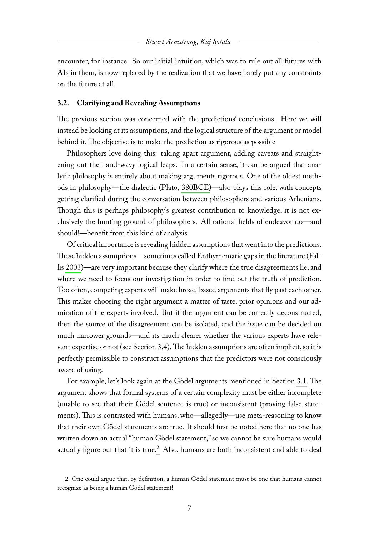encounter, for instance. So our initial intuition, which was to rule out all futures with AIs in them, is now replaced by the realization that we have barely put any constraints on the future at all.

#### **3.2. Clarifying and Revealing Assumptions**

The previous section was concerned with the predictions' conclusions. Here we will instead be looking at its assumptions, and the logical structure of the argument or model behind it. The objective is to make the prediction as rigorous as possible

Philosophers love doing this: taking apart argument, adding caveats and straightening out the hand-wavy logical leaps. In a certain sense, it can be argued that analytic philosophy is entirely about making arguments rigorous. One of the oldest methods in philosophy—the dialectic (Plato, [380BCE\)](#page-21-11)—also plays this role, with concepts getting clarified during the conversation between philosophers and various Athenians. Though this is perhaps philosophy's greatest contribution to knowledge, it is not exclusively the hunting ground of philosophers. All rational fields of endeavor do—and should!—benefit from this kind of analysis.

Of critical importance is revealing hidden assumptions that went into the predictions. These hidden assumptions—sometimes called Enthymematic gaps in the literature (Fallis [2003\)](#page-20-6)—are very important because they clarify where the true disagreements lie, and where we need to focus our investigation in order to find out the truth of prediction. Too often, competing experts will make broad-based arguments that fly past each other. This makes choosing the right argument a matter of taste, prior opinions and our admiration of the experts involved. But if the argument can be correctly deconstructed, then the source of the disagreement can be isolated, and the issue can be decided on much narrower grounds—and its much clearer whether the various experts have relevant expertise or not (see Section [3.4\)](#page-10-0). The hidden assumptions are often implicit, so it is perfectly permissible to construct assumptions that the predictors were not consciously aware of using.

For example, let's look again at the Gödel arguments mentioned in Section [3.1.](#page-5-0) The argument shows that formal systems of a certain complexity must be either incomplete (unable to see that their Gödel sentence is true) or inconsistent (proving false statements). This is contrasted with humans, who—allegedly—use meta-reasoning to know that their own Gödel statements are true. It should first be noted here that no one has written down an actual "human Gödel statement," so we cannot be sure humans would actually figure out that it is true.<sup>[2](#page-7-0)</sup> Also, humans are both inconsistent and able to deal

<span id="page-7-0"></span><sup>2.</sup> One could argue that, by definition, a human Gödel statement must be one that humans cannot recognize as being a human Gödel statement!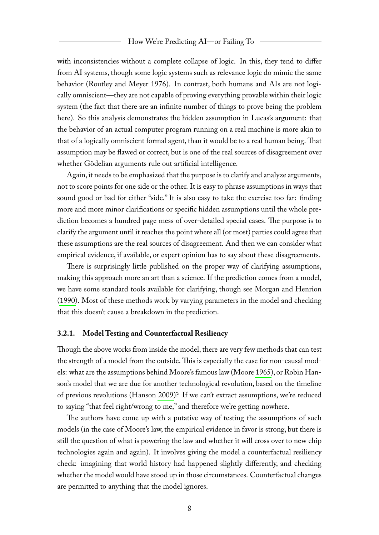with inconsistencies without a complete collapse of logic. In this, they tend to differ from AI systems, though some logic systems such as relevance logic do mimic the same behavior (Routley and Meyer [1976\)](#page-21-12). In contrast, both humans and AIs are not logically omniscient—they are not capable of proving everything provable within their logic system (the fact that there are an infinite number of things to prove being the problem here). So this analysis demonstrates the hidden assumption in Lucas's argument: that the behavior of an actual computer program running on a real machine is more akin to that of a logically omniscient formal agent, than it would be to a real human being. That assumption may be flawed or correct, but is one of the real sources of disagreement over whether Gödelian arguments rule out artificial intelligence.

Again,it needs to be emphasized that the purpose is to clarify and analyze arguments, not to score points for one side or the other. It is easy to phrase assumptions in ways that sound good or bad for either "side." It is also easy to take the exercise too far: finding more and more minor clarifications or specific hidden assumptions until the whole prediction becomes a hundred page mess of over-detailed special cases. The purpose is to clarify the argument until it reaches the point where all (or most) parties could agree that these assumptions are the real sources of disagreement. And then we can consider what empirical evidence, if available, or expert opinion has to say about these disagreements.

There is surprisingly little published on the proper way of clarifying assumptions, making this approach more an art than a science. If the prediction comes from a model, we have some standard tools available for clarifying, though see Morgan and Henrion [\(1990\)](#page-21-13). Most of these methods work by varying parameters in the model and checking that this doesn't cause a breakdown in the prediction.

#### **3.2.1. Model Testing and Counterfactual Resiliency**

Though the above works from inside the model, there are very few methods that can test the strength of a model from the outside. This is especially the case for non-causal models: what are the assumptions behind Moore's famous law (Moore [1965\)](#page-21-3), or Robin Hanson's model that we are due for another technological revolution, based on the timeline of previous revolutions (Hanson [2009\)](#page-21-14)? If we can't extract assumptions, we're reduced to saying "that feel right/wrong to me," and therefore we're getting nowhere.

The authors have come up with a putative way of testing the assumptions of such models (in the case of Moore's law, the empirical evidence in favor is strong, but there is still the question of what is powering the law and whether it will cross over to new chip technologies again and again). It involves giving the model a counterfactual resiliency check: imagining that world history had happened slightly differently, and checking whether the model would have stood up in those circumstances. Counterfactual changes are permitted to anything that the model ignores.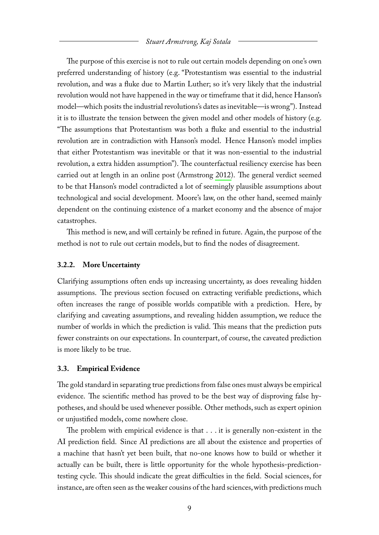The purpose of this exercise is not to rule out certain models depending on one's own preferred understanding of history (e.g. "Protestantism was essential to the industrial revolution, and was a fluke due to Martin Luther; so it's very likely that the industrial revolution would not have happened in the way or timeframe that it did, hence Hanson's model—which posits the industrial revolutions's dates as inevitable—is wrong"). Instead it is to illustrate the tension between the given model and other models of history (e.g. "The assumptions that Protestantism was both a fluke and essential to the industrial revolution are in contradiction with Hanson's model. Hence Hanson's model implies that either Protestantism was inevitable or that it was non-essential to the industrial revolution, a extra hidden assumption"). The counterfactual resiliency exercise has been carried out at length in an online post (Armstrong [2012\)](#page-20-7). The general verdict seemed to be that Hanson's model contradicted a lot of seemingly plausible assumptions about technological and social development. Moore's law, on the other hand, seemed mainly dependent on the continuing existence of a market economy and the absence of major catastrophes.

This method is new, and will certainly be refined in future. Again, the purpose of the method is not to rule out certain models, but to find the nodes of disagreement.

#### **3.2.2. More Uncertainty**

Clarifying assumptions often ends up increasing uncertainty, as does revealing hidden assumptions. The previous section focused on extracting verifiable predictions, which often increases the range of possible worlds compatible with a prediction. Here, by clarifying and caveating assumptions, and revealing hidden assumption, we reduce the number of worlds in which the prediction is valid. This means that the prediction puts fewer constraints on our expectations. In counterpart, of course, the caveated prediction is more likely to be true.

#### **3.3. Empirical Evidence**

The gold standard in separating true predictions from false ones must always be empirical evidence. The scientific method has proved to be the best way of disproving false hypotheses, and should be used whenever possible. Other methods, such as expert opinion or unjustified models, come nowhere close.

The problem with empirical evidence is that . . . it is generally non-existent in the AI prediction field. Since AI predictions are all about the existence and properties of a machine that hasn't yet been built, that no-one knows how to build or whether it actually can be built, there is little opportunity for the whole hypothesis-predictiontesting cycle. This should indicate the great difficulties in the field. Social sciences, for instance, are often seen as the weaker cousins of the hard sciences,with predictions much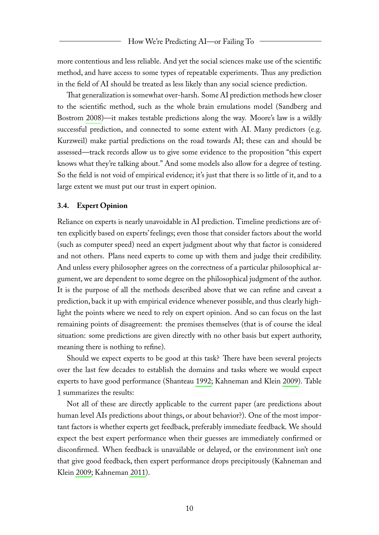more contentious and less reliable. And yet the social sciences make use of the scientific method, and have access to some types of repeatable experiments. Thus any prediction in the field of AI should be treated as less likely than any social science prediction.

That generalization is somewhat over-harsh. Some AI prediction methods hew closer to the scientific method, such as the whole brain emulations model (Sandberg and Bostrom [2008\)](#page-21-1)—it makes testable predictions along the way. Moore's law is a wildly successful prediction, and connected to some extent with AI. Many predictors (e.g. Kurzweil) make partial predictions on the road towards AI; these can and should be assessed—track records allow us to give some evidence to the proposition "this expert knows what they're talking about." And some models also allow for a degree of testing. So the field is not void of empirical evidence; it's just that there is so little of it, and to a large extent we must put our trust in expert opinion.

#### <span id="page-10-0"></span>**3.4. Expert Opinion**

Reliance on experts is nearly unavoidable in AI prediction. Timeline predictions are often explicitly based on experts' feelings; even those that consider factors about the world (such as computer speed) need an expert judgment about why that factor is considered and not others. Plans need experts to come up with them and judge their credibility. And unless every philosopher agrees on the correctness of a particular philosophical argument, we are dependent to some degree on the philosophical judgment of the author. It is the purpose of all the methods described above that we can refine and caveat a prediction, back it up with empirical evidence whenever possible, and thus clearly highlight the points where we need to rely on expert opinion. And so can focus on the last remaining points of disagreement: the premises themselves (that is of course the ideal situation: some predictions are given directly with no other basis but expert authority, meaning there is nothing to refine).

Should we expect experts to be good at this task? There have been several projects over the last few decades to establish the domains and tasks where we would expect experts to have good performance (Shanteau [1992;](#page-21-15) Kahneman and Klein [2009\)](#page-21-16). Table [1](#page-11-0) summarizes the results:

Not all of these are directly applicable to the current paper (are predictions about human level AIs predictions about things, or about behavior?). One of the most important factors is whether experts get feedback, preferably immediate feedback. We should expect the best expert performance when their guesses are immediately confirmed or disconfirmed. When feedback is unavailable or delayed, or the environment isn't one that give good feedback, then expert performance drops precipitously (Kahneman and Klein [2009;](#page-21-16) Kahneman [2011\)](#page-21-5).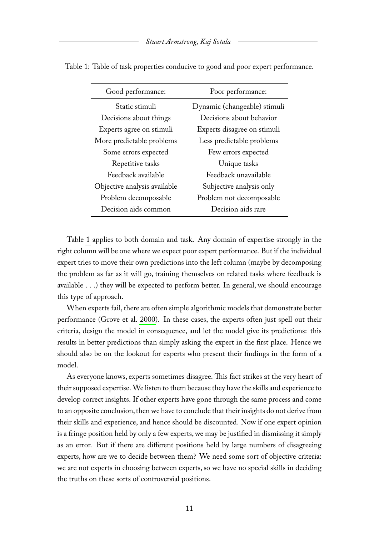<span id="page-11-0"></span>

| Good performance:            | Poor performance:            |
|------------------------------|------------------------------|
| Static stimuli               | Dynamic (changeable) stimuli |
| Decisions about things       | Decisions about behavior     |
| Experts agree on stimuli     | Experts disagree on stimuli  |
| More predictable problems    | Less predictable problems    |
| Some errors expected         | Few errors expected          |
| Repetitive tasks             | Unique tasks                 |
| Feedback available           | Feedback unavailable         |
| Objective analysis available | Subjective analysis only     |
| Problem decomposable         | Problem not decomposable     |
| Decision aids common         | Decision aids rare           |

Table 1: Table of task properties conducive to good and poor expert performance.

Table [1](#page-11-0) applies to both domain and task. Any domain of expertise strongly in the right column will be one where we expect poor expert performance. But if the individual expert tries to move their own predictions into the left column (maybe by decomposing the problem as far as it will go, training themselves on related tasks where feedback is available . . .) they will be expected to perform better. In general, we should encourage this type of approach.

When experts fail, there are often simple algorithmic models that demonstrate better performance (Grove et al. [2000\)](#page-20-8). In these cases, the experts often just spell out their criteria, design the model in consequence, and let the model give its predictions: this results in better predictions than simply asking the expert in the first place. Hence we should also be on the lookout for experts who present their findings in the form of a model.

As everyone knows, experts sometimes disagree. This fact strikes at the very heart of their supposed expertise. We listen to them because they have the skills and experience to develop correct insights. If other experts have gone through the same process and come to an opposite conclusion, then we have to conclude that their insights do not derive from their skills and experience, and hence should be discounted. Now if one expert opinion is a fringe position held by only a few experts, we may be justified in dismissing it simply as an error. But if there are different positions held by large numbers of disagreeing experts, how are we to decide between them? We need some sort of objective criteria: we are not experts in choosing between experts, so we have no special skills in deciding the truths on these sorts of controversial positions.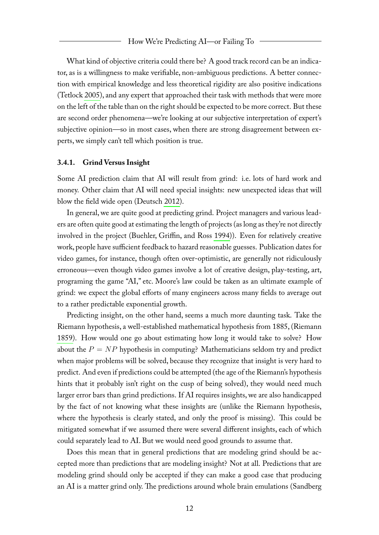What kind of objective criteria could there be? A good track record can be an indicator, as is a willingness to make verifiable, non-ambiguous predictions. A better connection with empirical knowledge and less theoretical rigidity are also positive indications (Tetlock [2005\)](#page-21-17), and any expert that approached their task with methods that were more on the left of the table than on the right should be expected to be more correct. But these are second order phenomena—we're looking at our subjective interpretation of expert's subjective opinion—so in most cases, when there are strong disagreement between experts, we simply can't tell which position is true.

#### <span id="page-12-0"></span>**3.4.1. Grind Versus Insight**

Some AI prediction claim that AI will result from grind: i.e. lots of hard work and money. Other claim that AI will need special insights: new unexpected ideas that will blow the field wide open (Deutsch [2012\)](#page-20-3).

In general, we are quite good at predicting grind. Project managers and various leaders are often quite good at estimating the length of projects (as long as they're not directly involved in the project (Buehler, Griffin, and Ross [1994\)](#page-20-9)). Even for relatively creative work, people have sufficient feedback to hazard reasonable guesses. Publication dates for video games, for instance, though often over-optimistic, are generally not ridiculously erroneous—even though video games involve a lot of creative design, play-testing, art, programing the game "AI," etc. Moore's law could be taken as an ultimate example of grind: we expect the global efforts of many engineers across many fields to average out to a rather predictable exponential growth.

Predicting insight, on the other hand, seems a much more daunting task. Take the Riemann hypothesis, a well-established mathematical hypothesis from 1885, (Riemann [1859\)](#page-21-18). How would one go about estimating how long it would take to solve? How about the  $P = NP$  hypothesis in computing? Mathematicians seldom try and predict when major problems will be solved, because they recognize that insight is very hard to predict. And even if predictions could be attempted (the age of the Riemann's hypothesis hints that it probably isn't right on the cusp of being solved), they would need much larger error bars than grind predictions. If AI requires insights, we are also handicapped by the fact of not knowing what these insights are (unlike the Riemann hypothesis, where the hypothesis is clearly stated, and only the proof is missing). This could be mitigated somewhat if we assumed there were several different insights, each of which could separately lead to AI. But we would need good grounds to assume that.

Does this mean that in general predictions that are modeling grind should be accepted more than predictions that are modeling insight? Not at all. Predictions that are modeling grind should only be accepted if they can make a good case that producing an AI is a matter grind only. The predictions around whole brain emulations (Sandberg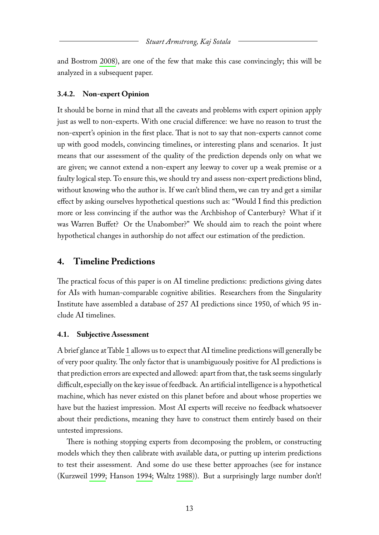and Bostrom [2008\)](#page-21-1), are one of the few that make this case convincingly; this will be analyzed in a subsequent paper.

#### **3.4.2. Non-expert Opinion**

It should be borne in mind that all the caveats and problems with expert opinion apply just as well to non-experts. With one crucial difference: we have no reason to trust the non-expert's opinion in the first place. That is not to say that non-experts cannot come up with good models, convincing timelines, or interesting plans and scenarios. It just means that our assessment of the quality of the prediction depends only on what we are given; we cannot extend a non-expert any leeway to cover up a weak premise or a faulty logical step. To ensure this, we should try and assess non-expert predictions blind, without knowing who the author is. If we can't blind them, we can try and get a similar effect by asking ourselves hypothetical questions such as: "Would I find this prediction more or less convincing if the author was the Archbishop of Canterbury? What if it was Warren Buffet? Or the Unabomber?" We should aim to reach the point where hypothetical changes in authorship do not affect our estimation of the prediction.

# **4. Timeline Predictions**

The practical focus of this paper is on AI timeline predictions: predictions giving dates for AIs with human-comparable cognitive abilities. Researchers from the Singularity Institute have assembled a database of 257 AI predictions since 1950, of which 95 include AI timelines.

#### **4.1. Subjective Assessment**

A brief glance at Table [1](#page-11-0) allows us to expect that AI timeline predictions will generally be of very poor quality. The only factor that is unambiguously positive for AI predictions is that prediction errors are expected and allowed: apart from that, the task seems singularly difficult, especially on the key issue of feedback. An artificial intelligence is a hypothetical machine, which has never existed on this planet before and about whose properties we have but the haziest impression. Most AI experts will receive no feedback whatsoever about their predictions, meaning they have to construct them entirely based on their untested impressions.

There is nothing stopping experts from decomposing the problem, or constructing models which they then calibrate with available data, or putting up interim predictions to test their assessment. And some do use these better approaches (see for instance (Kurzweil [1999;](#page-21-4) Hanson [1994;](#page-20-2) Waltz [1988\)](#page-22-2)). But a surprisingly large number don't!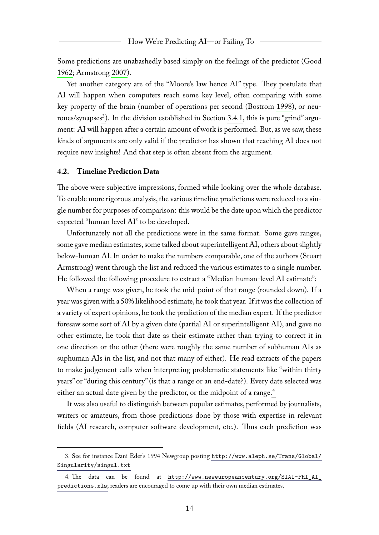Some predictions are unabashedly based simply on the feelings of the predictor (Good [1962;](#page-20-10) Armstrong [2007\)](#page-20-11).

Yet another category are of the "Moore's law hence AI" type. They postulate that AI will happen when computers reach some key level, often comparing with some key property of the brain (number of operations per second (Bostrom [1998\)](#page-20-12), or neu-rones/synapses<sup>[3](#page-14-0)</sup>). In the division established in Section [3.4.1,](#page-12-0) this is pure "grind" argument: AI will happen after a certain amount of work is performed. But, as we saw, these kinds of arguments are only valid if the predictor has shown that reaching AI does not require new insights! And that step is often absent from the argument.

#### **4.2. Timeline Prediction Data**

The above were subjective impressions, formed while looking over the whole database. To enable more rigorous analysis, the various timeline predictions were reduced to a single number for purposes of comparison: this would be the date upon which the predictor expected "human level AI" to be developed.

Unfortunately not all the predictions were in the same format. Some gave ranges, some gave median estimates, some talked about superintelligent AI,others about slightly below-human AI. In order to make the numbers comparable, one of the authors (Stuart Armstrong) went through the list and reduced the various estimates to a single number. He followed the following procedure to extract a "Median human-level AI estimate":

When a range was given, he took the mid-point of that range (rounded down). If a year was given with a 50% likelihood estimate, he took that year. If it was the collection of a variety of expert opinions, he took the prediction of the median expert. If the predictor foresaw some sort of AI by a given date (partial AI or superintelligent AI), and gave no other estimate, he took that date as their estimate rather than trying to correct it in one direction or the other (there were roughly the same number of subhuman AIs as suphuman AIs in the list, and not that many of either). He read extracts of the papers to make judgement calls when interpreting problematic statements like "within thirty years" or "during this century" (is that a range or an end-date?). Every date selected was either an actual date given by the predictor, or the midpoint of a range.<sup>[4](#page-14-1)</sup>

It was also useful to distinguish between popular estimates, performed by journalists, writers or amateurs, from those predictions done by those with expertise in relevant fields (AI research, computer software development, etc.). Thus each prediction was

<span id="page-14-0"></span><sup>3.</sup> See for instance Dani Eder's 1994 Newgroup posting [http://www.aleph.se/Trans/Global/](http://www.aleph.se/Trans/Global/Singularity/singul.txt) [Singularity/singul.txt](http://www.aleph.se/Trans/Global/Singularity/singul.txt)

<span id="page-14-1"></span><sup>4.</sup> The data can be found at [http://www.neweuropeancentury.org/SIAI-FHI\\_AI\\_](http://www.neweuropeancentury.org/SIAI-FHI_AI_predictions.xls) [predictions.xls](http://www.neweuropeancentury.org/SIAI-FHI_AI_predictions.xls); readers are encouraged to come up with their own median estimates.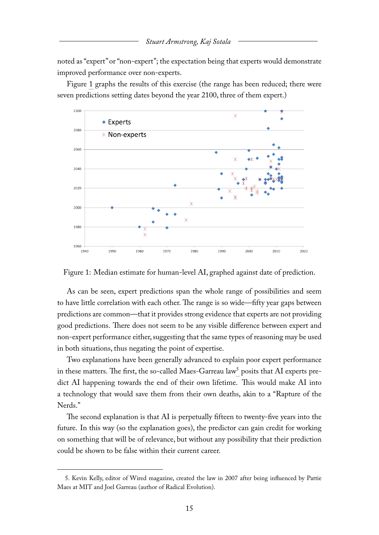noted as "expert"or "non-expert"; the expectation being that experts would demonstrate improved performance over non-experts.

Figure [1](#page-15-0) graphs the results of this exercise (the range has been reduced; there were seven predictions setting dates beyond the year 2100, three of them expert.)



<span id="page-15-0"></span>Figure 1: Median estimate for human-level AI, graphed against date of prediction.

As can be seen, expert predictions span the whole range of possibilities and seem to have little correlation with each other. The range is so wide—fifty year gaps between predictions are common—that it provides strong evidence that experts are not providing good predictions. There does not seem to be any visible difference between expert and non-expert performance either, suggesting that the same types of reasoning may be used in both situations, thus negating the point of expertise.

Two explanations have been generally advanced to explain poor expert performance in these matters. The first, the so-called Maes-Garreau law<sup>[5](#page-15-1)</sup> posits that AI experts predict AI happening towards the end of their own lifetime. This would make AI into a technology that would save them from their own deaths, akin to a "Rapture of the Nerds."

The second explanation is that AI is perpetually fifteen to twenty-five years into the future. In this way (so the explanation goes), the predictor can gain credit for working on something that will be of relevance, but without any possibility that their prediction could be shown to be false within their current career.

<span id="page-15-1"></span><sup>5.</sup> Kevin Kelly, editor of Wired magazine, created the law in 2007 after being influenced by Pattie Maes at MIT and Joel Garreau (author of Radical Evolution).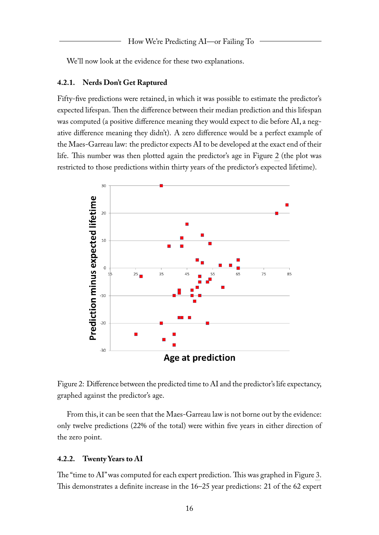We'll now look at the evidence for these two explanations.

#### **4.2.1. Nerds Don't Get Raptured**

Fifty-five predictions were retained, in which it was possible to estimate the predictor's expected lifespan. Then the difference between their median prediction and this lifespan was computed (a positive difference meaning they would expect to die before AI, a negative difference meaning they didn't). A zero difference would be a perfect example of the Maes-Garreau law: the predictor expects AI to be developed at the exact end of their life. This number was then plotted again the predictor's age in Figure [2](#page-16-0) (the plot was restricted to those predictions within thirty years of the predictor's expected lifetime).



<span id="page-16-0"></span>Figure 2: Difference between the predicted time to AI and the predictor's life expectancy, graphed against the predictor's age.

From this, it can be seen that the Maes-Garreau law is not borne out by the evidence: only twelve predictions (22% of the total) were within five years in either direction of the zero point.

#### **4.2.2. Twenty Years to AI**

The "time to AI"was computed for each expert prediction. This was graphed in Figure [3.](#page-17-0) This demonstrates a definite increase in the 16–25 year predictions: 21 of the 62 expert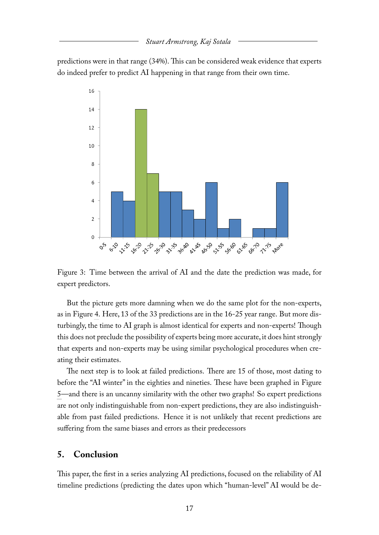predictions were in that range (34%). This can be considered weak evidence that experts do indeed prefer to predict AI happening in that range from their own time.



<span id="page-17-0"></span>Figure 3: Time between the arrival of AI and the date the prediction was made, for expert predictors.

But the picture gets more damning when we do the same plot for the non-experts, as in Figure [4.](#page-18-0) Here, 13 of the 33 predictions are in the 16-25 year range. But more disturbingly, the time to AI graph is almost identical for experts and non-experts! Though this does not preclude the possibility of experts being more accurate, it does hint strongly that experts and non-experts may be using similar psychological procedures when creating their estimates.

The next step is to look at failed predictions. There are 15 of those, most dating to before the "AI winter" in the eighties and nineties. These have been graphed in Figure [5—](#page-18-1)and there is an uncanny similarity with the other two graphs! So expert predictions are not only indistinguishable from non-expert predictions, they are also indistinguishable from past failed predictions. Hence it is not unlikely that recent predictions are suffering from the same biases and errors as their predecessors

## **5. Conclusion**

This paper, the first in a series analyzing AI predictions, focused on the reliability of AI timeline predictions (predicting the dates upon which "human-level" AI would be de-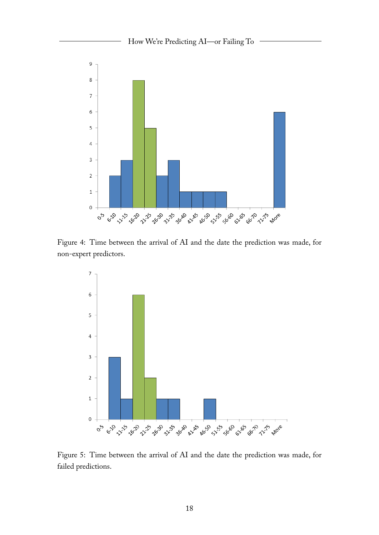

Figure 4: Time between the arrival of AI and the date the prediction was made, for non-expert predictors.

<span id="page-18-0"></span>

<span id="page-18-1"></span>Figure 5: Time between the arrival of AI and the date the prediction was made, for failed predictions.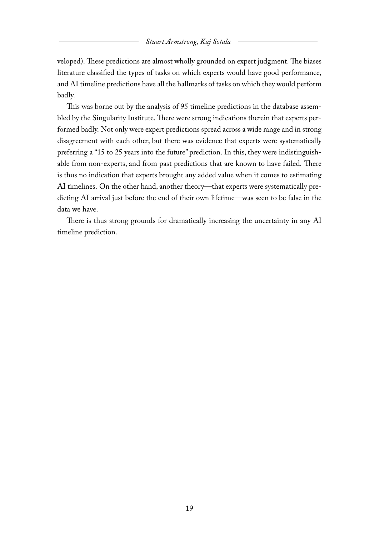veloped). These predictions are almost wholly grounded on expert judgment. The biases literature classified the types of tasks on which experts would have good performance, and AI timeline predictions have all the hallmarks of tasks on which they would perform badly.

This was borne out by the analysis of 95 timeline predictions in the database assembled by the Singularity Institute. There were strong indications therein that experts performed badly. Not only were expert predictions spread across a wide range and in strong disagreement with each other, but there was evidence that experts were systematically preferring a "15 to 25 years into the future" prediction. In this, they were indistinguishable from non-experts, and from past predictions that are known to have failed. There is thus no indication that experts brought any added value when it comes to estimating AI timelines. On the other hand, another theory—that experts were systematically predicting AI arrival just before the end of their own lifetime—was seen to be false in the data we have.

There is thus strong grounds for dramatically increasing the uncertainty in any AI timeline prediction.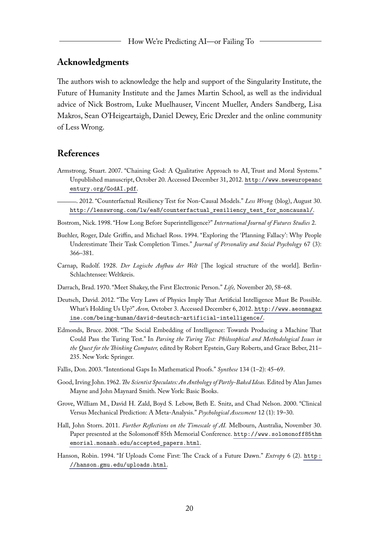## **Acknowledgments**

The authors wish to acknowledge the help and support of the Singularity Institute, the Future of Humanity Institute and the James Martin School, as well as the individual advice of Nick Bostrom, Luke Muelhauser, Vincent Mueller, Anders Sandberg, Lisa Makros, Sean O'Heigeartaigh, Daniel Dewey, Eric Drexler and the online community of Less Wrong.

# **References**

- <span id="page-20-11"></span>Armstrong, Stuart. 2007. "Chaining God: A Qualitative Approach to AI, Trust and Moral Systems." Unpublished manuscript, October 20. Accessed December 31, 2012. [http://www.neweuropeanc](http://www.neweuropeancentury.org/GodAI.pdf) [entury.org/GodAI.pdf](http://www.neweuropeancentury.org/GodAI.pdf).
	- . 2012. "Counterfactual Resiliency Test for Non-Causal Models." *Less Wrong* (blog), August 30. [http://lesswrong.com/lw/ea8/counterfactual\\_resiliency\\_test\\_for\\_noncausal/](http://lesswrong.com/lw/ea8/counterfactual_resiliency_test_for_noncausal/).
- <span id="page-20-12"></span><span id="page-20-7"></span>Bostrom, Nick. 1998. "How Long Before Superintelligence?" *International Journal of Futures Studies* 2.
- <span id="page-20-9"></span>Buehler, Roger, Dale Griffin, and Michael Ross. 1994. "Exploring the 'Planning Fallacy': Why People Underestimate Their Task Completion Times." *Journal of Personality and Social Psychology* 67 (3): 366–381.
- <span id="page-20-4"></span>Carnap, Rudolf. 1928. *Der Logische Aufbau der Welt* [The logical structure of the world]. Berlin-Schlachtensee: Weltkreis.
- <span id="page-20-0"></span>Darrach, Brad. 1970. "Meet Shakey, the First Electronic Person." *Life,* November 20, 58–68.
- <span id="page-20-3"></span>Deutsch, David. 2012. "The Very Laws of Physics Imply That Artificial Intelligence Must Be Possible. What's Holding Us Up?" *Aeon,* October 3. Accessed December 6, 2012. [http://www.aeonmagaz](http://www.aeonmagazine.com/being-human/david-deutsch-artificial-intelligence/) [ine.com/being-human/david-deutsch-artificial-intelligence/](http://www.aeonmagazine.com/being-human/david-deutsch-artificial-intelligence/).
- <span id="page-20-5"></span>Edmonds, Bruce. 2008. "The Social Embedding of Intelligence: Towards Producing a Machine That Could Pass the Turing Test." In *Parsing the Turing Test: Philosophical and Methodological Issues in the Quest for the Thinking Computer,* edited by Robert Epstein, Gary Roberts, and Grace Beber, 211– 235. New York: Springer.
- <span id="page-20-6"></span>Fallis, Don. 2003. "Intentional Gaps In Mathematical Proofs." *Synthese* 134 (1–2): 45–69.
- <span id="page-20-10"></span>Good, Irving John. 1962.*The Scientist Speculates: An Anthology of Partly-Baked Ideas.* Edited by Alan James Mayne and John Maynard Smith. New York: Basic Books.
- <span id="page-20-8"></span>Grove, William M., David H. Zald, Boyd S. Lebow, Beth E. Snitz, and Chad Nelson. 2000. "Clinical Versus Mechanical Prediction: A Meta-Analysis." *Psychological Assessment* 12 (1): 19–30.
- <span id="page-20-1"></span>Hall, John Storrs. 2011. *Further Reflections on the Timescale of AI.* Melbourn, Australia, November 30. Paper presented at the Solomonoff 85th Memorial Conference. [http://www.solomonoff85thm](http://www.solomonoff85thmemorial.monash.edu/accepted_papers.html) [emorial.monash.edu/accepted\\_papers.html](http://www.solomonoff85thmemorial.monash.edu/accepted_papers.html).
- <span id="page-20-2"></span>Hanson, Robin. 1994. "If Uploads Come First: The Crack of a Future Dawn." *Extropy* 6 (2). [http :](http://hanson.gmu.edu/uploads.html) [//hanson.gmu.edu/uploads.html](http://hanson.gmu.edu/uploads.html).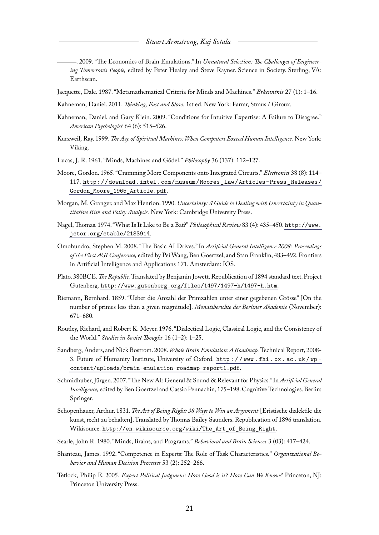- <span id="page-21-14"></span>. 2009. "The Economics of Brain Emulations." In *Unnatural Selection: The Challenges of Engineering Tomorrow's People,* edited by Peter Healey and Steve Rayner. Science in Society. Sterling, VA: Earthscan.
- <span id="page-21-0"></span>Jacquette, Dale. 1987. "Metamathematical Criteria for Minds and Machines." *Erkenntnis* 27 (1): 1–16.
- <span id="page-21-5"></span>Kahneman, Daniel. 2011. *Thinking, Fast and Slow.* 1st ed. New York: Farrar, Straus / Giroux.
- <span id="page-21-16"></span>Kahneman, Daniel, and Gary Klein. 2009. "Conditions for Intuitive Expertise: A Failure to Disagree." *American Psychologist* 64 (6): 515–526.
- <span id="page-21-4"></span>Kurzweil, Ray. 1999.*The Age of Spiritual Machines: When Computers Exceed Human Intelligence.* New York: Viking.
- <span id="page-21-9"></span>Lucas, J. R. 1961. "Minds, Machines and Gödel." *Philosophy* 36 (137): 112–127.
- <span id="page-21-3"></span>Moore, Gordon. 1965. "Cramming More Components onto Integrated Circuits." *Electronics* 38 (8): 114– 117. [http://download.intel.com/museum/Moores\\_Law/Articles-Press\\_Releases/](http://download.intel.com/museum/Moores_Law/Articles-Press_Releases/Gordon_Moore_1965_Article.pdf) [Gordon\\_Moore\\_1965\\_Article.pdf](http://download.intel.com/museum/Moores_Law/Articles-Press_Releases/Gordon_Moore_1965_Article.pdf).
- <span id="page-21-13"></span>Morgan, M. Granger, and Max Henrion. 1990. *Uncertainty: A Guide to Dealing with Uncertainty in Quantitative Risk and Policy Analysis.* New York: Cambridge University Press.
- <span id="page-21-8"></span>Nagel,Thomas. 1974. "What Is It Like to Be a Bat?" *Philosophical Review* 83 (4): 435–450. [http://www.](http://www.jstor.org/stable/2183914) [jstor.org/stable/2183914](http://www.jstor.org/stable/2183914).
- <span id="page-21-2"></span>Omohundro, Stephen M. 2008. "The Basic AI Drives." In *Artificial General Intelligence 2008: Proceedings of the First AGI Conference,* edited by Pei Wang, Ben Goertzel, and Stan Franklin, 483–492. Frontiers in Artificial Intelligence and Applications 171. Amsterdam: IOS.
- <span id="page-21-11"></span>Plato. 380BCE.*The Republic.* Translated by Benjamin Jowett.Republication of 1894 standard text. Project Gutenberg. <http://www.gutenberg.org/files/1497/1497-h/1497-h.htm>.
- <span id="page-21-18"></span>Riemann, Bernhard. 1859. "Ueber die Anzahl der Primzahlen unter einer gegebenen Grösse" [On the number of primes less than a given magnitude]. *Monatsberichte der Berliner Akademie* (November): 671–680.
- <span id="page-21-12"></span>Routley, Richard, and Robert K. Meyer. 1976. "Dialectical Logic, Classical Logic, and the Consistency of the World." *Studies in Soviet Thought* 16 (1–2): 1–25.
- <span id="page-21-1"></span>Sandberg, Anders, and Nick Bostrom. 2008. *Whole Brain Emulation: A Roadmap.* Technical Report, 2008- 3. Future of Humanity Institute, University of Oxford. [http : / / www . fhi . ox . ac . uk / wp](http://www.fhi.ox.ac.uk/wp-content/uploads/brain-emulation-roadmap-report1.pdf)  [content/uploads/brain-emulation-roadmap-report1.pdf](http://www.fhi.ox.ac.uk/wp-content/uploads/brain-emulation-roadmap-report1.pdf).
- <span id="page-21-7"></span>Schmidhuber, Jürgen. 2007. "The New AI: General & Sound & Relevant for Physics." In *Artificial General Intelligence,* edited by Ben Goertzel and Cassio Pennachin, 175–198. Cognitive Technologies.Berlin: Springer.
- <span id="page-21-10"></span>Schopenhauer, Arthur. 1831.*The Art of Being Right: 38 Ways to Win an Argument* [Eristische dialektik: die kunst, recht zu behalten]. Translated by Thomas Bailey Saunders. Republication of 1896 translation. Wikisource. [http://en.wikisource.org/wiki/The\\_Art\\_of\\_Being\\_Right](http://en.wikisource.org/wiki/The_Art_of_Being_Right).
- <span id="page-21-6"></span>Searle, John R. 1980. "Minds, Brains, and Programs." *Behavioral and Brain Sciences* 3 (03): 417–424.
- <span id="page-21-15"></span>Shanteau, James. 1992. "Competence in Experts: The Role of Task Characteristics." *Organizational Behavior and Human Decision Processes* 53 (2): 252–266.
- <span id="page-21-17"></span>Tetlock, Philip E. 2005. *Expert Political Judgment: How Good is it? How Can We Know?* Princeton, NJ: Princeton University Press.